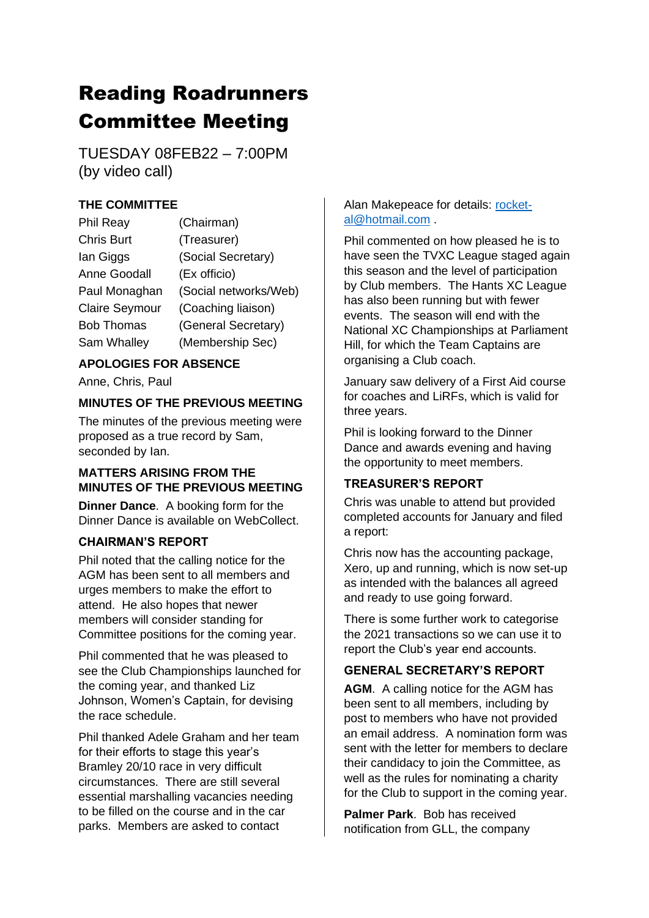# Reading Roadrunners Committee Meeting

TUESDAY 08FEB22 – 7:00PM (by video call)

# **THE COMMITTEE**

| <b>Phil Reay</b>      | (Chairman)            |
|-----------------------|-----------------------|
| <b>Chris Burt</b>     | (Treasurer)           |
| lan Giggs             | (Social Secretary)    |
| Anne Goodall          | (Ex officio)          |
| Paul Monaghan         | (Social networks/Web) |
| <b>Claire Seymour</b> | (Coaching liaison)    |
| <b>Bob Thomas</b>     | (General Secretary)   |
| Sam Whalley           | (Membership Sec)      |

## **APOLOGIES FOR ABSENCE**

Anne, Chris, Paul

## **MINUTES OF THE PREVIOUS MEETING**

The minutes of the previous meeting were proposed as a true record by Sam, seconded by Ian.

## **MATTERS ARISING FROM THE MINUTES OF THE PREVIOUS MEETING**

**Dinner Dance**. A booking form for the Dinner Dance is available on WebCollect.

## **CHAIRMAN'S REPORT**

Phil noted that the calling notice for the AGM has been sent to all members and urges members to make the effort to attend. He also hopes that newer members will consider standing for Committee positions for the coming year.

Phil commented that he was pleased to see the Club Championships launched for the coming year, and thanked Liz Johnson, Women's Captain, for devising the race schedule.

Phil thanked Adele Graham and her team for their efforts to stage this year's Bramley 20/10 race in very difficult circumstances. There are still several essential marshalling vacancies needing to be filled on the course and in the car parks. Members are asked to contact

## Alan Makepeace for details: [rocket](mailto:rocket-al@hotmail.com)[al@hotmail.com](mailto:rocket-al@hotmail.com) .

Phil commented on how pleased he is to have seen the TVXC League staged again this season and the level of participation by Club members. The Hants XC League has also been running but with fewer events. The season will end with the National XC Championships at Parliament Hill, for which the Team Captains are organising a Club coach.

January saw delivery of a First Aid course for coaches and LiRFs, which is valid for three years.

Phil is looking forward to the Dinner Dance and awards evening and having the opportunity to meet members.

## **TREASURER'S REPORT**

Chris was unable to attend but provided completed accounts for January and filed a report:

Chris now has the accounting package, Xero, up and running, which is now set-up as intended with the balances all agreed and ready to use going forward.

There is some further work to categorise the 2021 transactions so we can use it to report the Club's year end accounts.

## **GENERAL SECRETARY'S REPORT**

**AGM**. A calling notice for the AGM has been sent to all members, including by post to members who have not provided an email address. A nomination form was sent with the letter for members to declare their candidacy to join the Committee, as well as the rules for nominating a charity for the Club to support in the coming year.

**Palmer Park**. Bob has received notification from GLL, the company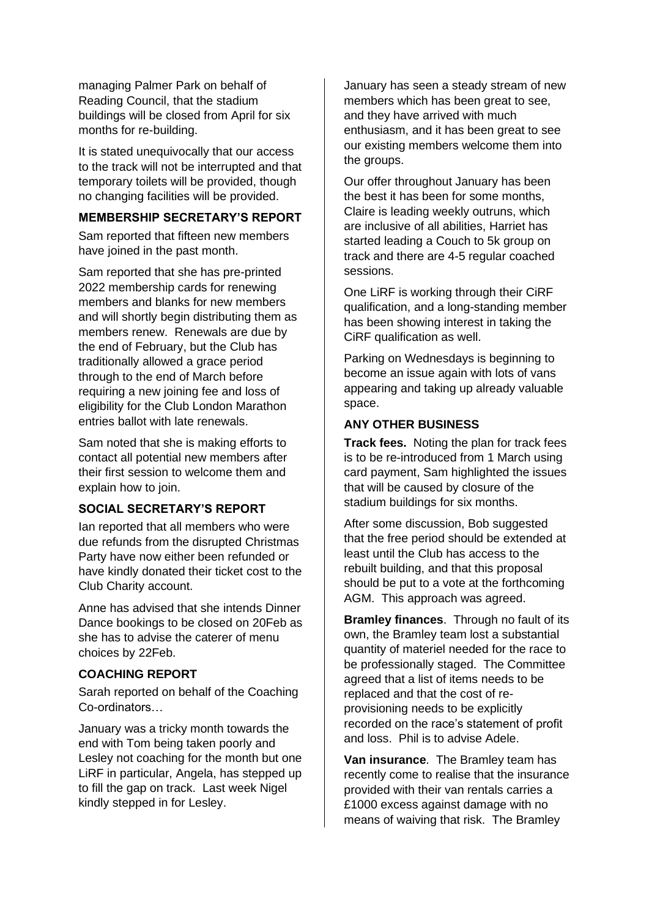managing Palmer Park on behalf of Reading Council, that the stadium buildings will be closed from April for six months for re-building.

It is stated unequivocally that our access to the track will not be interrupted and that temporary toilets will be provided, though no changing facilities will be provided.

#### **MEMBERSHIP SECRETARY'S REPORT**

Sam reported that fifteen new members have joined in the past month.

Sam reported that she has pre-printed 2022 membership cards for renewing members and blanks for new members and will shortly begin distributing them as members renew. Renewals are due by the end of February, but the Club has traditionally allowed a grace period through to the end of March before requiring a new joining fee and loss of eligibility for the Club London Marathon entries ballot with late renewals.

Sam noted that she is making efforts to contact all potential new members after their first session to welcome them and explain how to join.

#### **SOCIAL SECRETARY'S REPORT**

Ian reported that all members who were due refunds from the disrupted Christmas Party have now either been refunded or have kindly donated their ticket cost to the Club Charity account.

Anne has advised that she intends Dinner Dance bookings to be closed on 20Feb as she has to advise the caterer of menu choices by 22Feb.

#### **COACHING REPORT**

Sarah reported on behalf of the Coaching Co-ordinators…

January was a tricky month towards the end with Tom being taken poorly and Lesley not coaching for the month but one LiRF in particular, Angela, has stepped up to fill the gap on track. Last week Nigel kindly stepped in for Lesley.

January has seen a steady stream of new members which has been great to see, and they have arrived with much enthusiasm, and it has been great to see our existing members welcome them into the groups.

Our offer throughout January has been the best it has been for some months, Claire is leading weekly outruns, which are inclusive of all abilities, Harriet has started leading a Couch to 5k group on track and there are 4-5 regular coached sessions.

One LiRF is working through their CiRF qualification, and a long-standing member has been showing interest in taking the CiRF qualification as well.

Parking on Wednesdays is beginning to become an issue again with lots of vans appearing and taking up already valuable space.

#### **ANY OTHER BUSINESS**

**Track fees.** Noting the plan for track fees is to be re-introduced from 1 March using card payment, Sam highlighted the issues that will be caused by closure of the stadium buildings for six months.

After some discussion, Bob suggested that the free period should be extended at least until the Club has access to the rebuilt building, and that this proposal should be put to a vote at the forthcoming AGM. This approach was agreed.

**Bramley finances**. Through no fault of its own, the Bramley team lost a substantial quantity of materiel needed for the race to be professionally staged. The Committee agreed that a list of items needs to be replaced and that the cost of reprovisioning needs to be explicitly recorded on the race's statement of profit and loss. Phil is to advise Adele.

**Van insurance**. The Bramley team has recently come to realise that the insurance provided with their van rentals carries a £1000 excess against damage with no means of waiving that risk. The Bramley